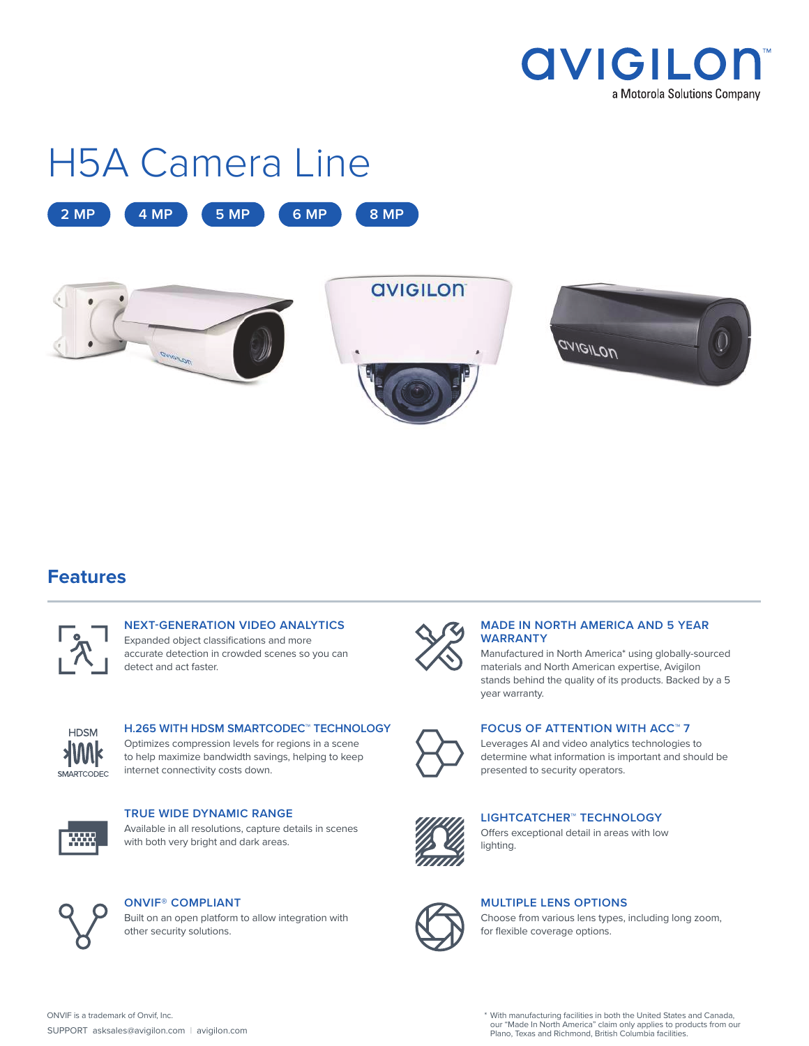

# H5A Camera Line





### **Features**



#### **NEXT-GENERATION VIDEO ANALYTICS** Expanded object classifications and more accurate detection in crowded scenes so you can detect and act faster.



#### **H.265 WITH HDSM SMARTCODEC™ TECHNOLOGY** Optimizes compression levels for regions in a scene

to help maximize bandwidth savings, helping to keep internet connectivity costs down.



#### **TRUE WIDE DYNAMIC RANGE** Available in all resolutions, capture details in scenes

with both very bright and dark areas.



#### **ONVIF® COMPLIANT**

Built on an open platform to allow integration with other security solutions.



#### **MADE IN NORTH AMERICA AND 5 YEAR WARRANTY**

Manufactured in North America\* using globally-sourced materials and North American expertise, Avigilon stands behind the quality of its products. Backed by a 5 year warranty.



#### **FOCUS OF ATTENTION WITH ACC™ 7**

Leverages AI and video analytics technologies to determine what information is important and should be presented to security operators.



#### **LIGHTCATCHER™ TECHNOLOGY**

Offers exceptional detail in areas with low lighting.



#### **MULTIPLE LENS OPTIONS**

Choose from various lens types, including long zoom, for flexible coverage options.

ONVIF is a trademark of Onvif, Inc. The Canada, the Canada, the Canada, the United States and Canada, our "Made In North America" claim only applies to products from our Plano, Texas and Richmond, British Columbia facilities.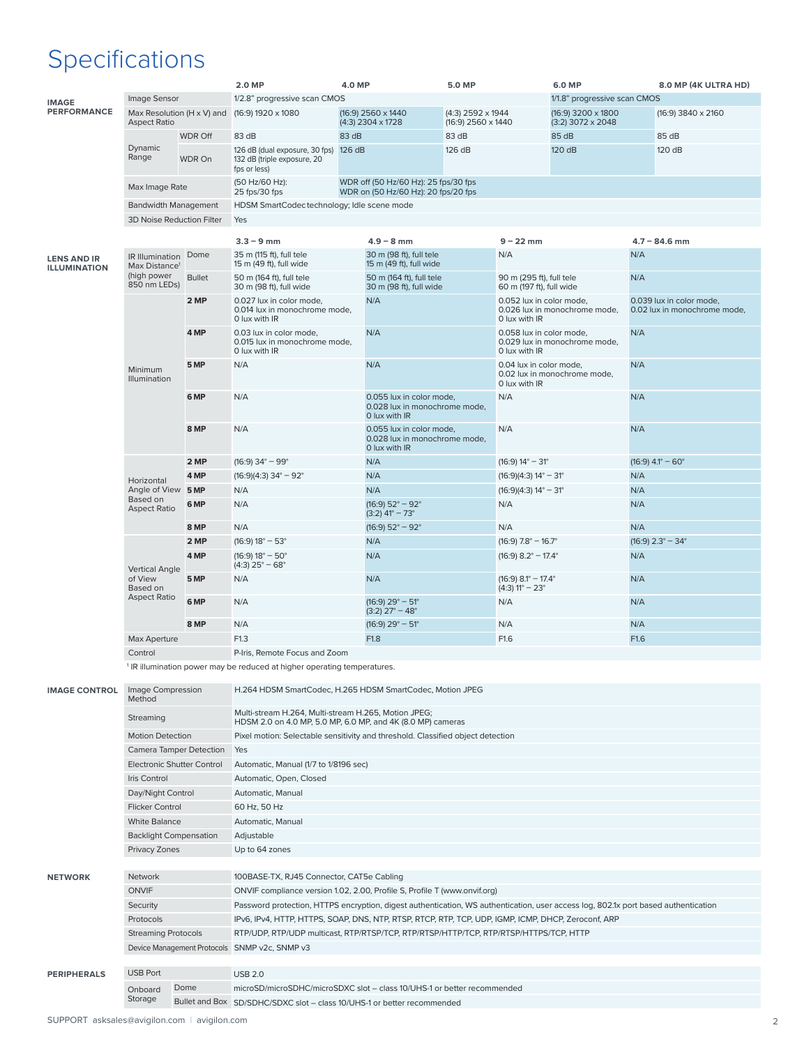# Specifications

|                                           |                                                   |                | 2.0 MP                                                                               | <b>4.0 MP</b> |                                                                             | <b>5.0 MP</b>                           |                                                      | <b>6.0 MP</b>                             |                     | 8.0 MP (4K ULTRA HD)                                     |  |  |
|-------------------------------------------|---------------------------------------------------|----------------|--------------------------------------------------------------------------------------|---------------|-----------------------------------------------------------------------------|-----------------------------------------|------------------------------------------------------|-------------------------------------------|---------------------|----------------------------------------------------------|--|--|
| <b>IMAGE</b>                              | Image Sensor                                      |                | 1/2.8" progressive scan CMOS                                                         |               |                                                                             |                                         |                                                      | 1/1.8" progressive scan CMOS              |                     |                                                          |  |  |
| <b>PERFORMANCE</b>                        | Max Resolution (H x V) and<br><b>Aspect Ratio</b> |                | $(16:9)$ 1920 x 1080                                                                 |               | (16:9) 2560 x 1440<br>$(4:3)$ 2304 x 1728                                   | (4:3) 2592 x 1944<br>(16:9) 2560 x 1440 |                                                      | (16:9) 3200 x 1800<br>$(3:2)$ 3072 x 2048 |                     | (16:9) 3840 x 2160                                       |  |  |
|                                           |                                                   | <b>WDR Off</b> | 83 dB                                                                                | 83 dB         |                                                                             | 83 dB                                   |                                                      | 85 dB                                     |                     | 85 dB                                                    |  |  |
|                                           | Dynamic<br>Range                                  | WDR On         | 126 dB (dual exposure, 30 fps) 126 dB<br>132 dB (triple exposure, 20<br>fps or less) |               |                                                                             | 126 dB                                  |                                                      | 120 dB                                    |                     | 120 dB                                                   |  |  |
|                                           | Max Image Rate                                    |                | (50 Hz/60 Hz):<br>25 fps/30 fps                                                      |               | WDR off (50 Hz/60 Hz): 25 fps/30 fps<br>WDR on (50 Hz/60 Hz): 20 fps/20 fps |                                         |                                                      |                                           |                     |                                                          |  |  |
|                                           | <b>Bandwidth Management</b>                       |                | HDSM SmartCodectechnology; Idle scene mode                                           |               |                                                                             |                                         |                                                      |                                           |                     |                                                          |  |  |
|                                           | 3D Noise Reduction Filter                         |                | Yes                                                                                  |               |                                                                             |                                         |                                                      |                                           |                     |                                                          |  |  |
|                                           |                                                   |                | $3.3 - 9$ mm                                                                         |               | $4.9 - 8$ mm                                                                |                                         | $9 - 22$ mm                                          |                                           |                     | $4.7 - 84.6$ mm                                          |  |  |
| <b>LENS AND IR</b><br><b>ILLUMINATION</b> | IR Illumination<br>Max Distance <sup>1</sup>      | Dome           | 35 m (115 ft), full tele<br>15 m (49 ft), full wide                                  |               | 30 m (98 ft), full tele<br>15 m (49 ft), full wide                          |                                         | N/A                                                  |                                           | N/A                 |                                                          |  |  |
|                                           | (high power<br>850 nm LEDs)                       | <b>Bullet</b>  | 50 m (164 ft), full tele<br>30 m (98 ft), full wide                                  |               | 50 m (164 ft), full tele<br>30 m (98 ft), full wide                         |                                         | 90 m (295 ft), full tele<br>60 m (197 ft), full wide |                                           | N/A                 |                                                          |  |  |
|                                           |                                                   | 2 MP           | 0.027 lux in color mode,<br>0.014 lux in monochrome mode,<br>0 lux with IR           |               | N/A                                                                         |                                         | 0.052 lux in color mode,<br>0 lux with IR            | 0.026 lux in monochrome mode,             |                     | 0.039 lux in color mode,<br>0.02 lux in monochrome mode, |  |  |
|                                           | Minimum<br>Illumination                           | 4 MP           | 0.03 lux in color mode,<br>0.015 lux in monochrome mode,<br>0 lux with IR            |               | N/A                                                                         |                                         | 0.058 lux in color mode.<br>0 lux with IR            | 0.029 lux in monochrome mode,             | N/A                 |                                                          |  |  |
|                                           |                                                   | 5 MP           | N/A                                                                                  |               | N/A                                                                         |                                         | 0.04 lux in color mode,<br>0 lux with IR             | 0.02 lux in monochrome mode,              | N/A                 |                                                          |  |  |
|                                           |                                                   | 6 MP           | N/A                                                                                  |               | 0.055 lux in color mode,<br>0.028 lux in monochrome mode.<br>0 lux with IR  |                                         | N/A                                                  |                                           | N/A                 |                                                          |  |  |
|                                           |                                                   | 8 MP           | N/A                                                                                  |               | 0.055 lux in color mode.<br>0.028 lux in monochrome mode,<br>0 lux with IR  |                                         | N/A                                                  |                                           | N/A                 |                                                          |  |  |
|                                           |                                                   | 2 MP           | $(16:9)$ 34° – 99°                                                                   |               | N/A                                                                         |                                         | $(16:9) 14^{\circ} - 31^{\circ}$                     |                                           | $(16:9)$ 4.1° – 60° |                                                          |  |  |
|                                           | Horizontal                                        | 4 MP           | $(16:9)(4:3)$ 34° - 92°                                                              |               | N/A                                                                         |                                         | $(16:9)(4:3) 14^{\circ} - 31^{\circ}$                |                                           | N/A                 |                                                          |  |  |
|                                           | Angle of View                                     | 5 MP           | N/A                                                                                  |               | N/A                                                                         |                                         | $(16:9)(4:3) 14^{\circ} - 31^{\circ}$                |                                           | N/A                 |                                                          |  |  |
|                                           | Based on<br><b>Aspect Ratio</b>                   | 6 MP           | N/A                                                                                  |               | $(16:9) 52^{\circ} - 92^{\circ}$<br>$(3:2)$ 41° – 73°                       |                                         | N/A                                                  |                                           | N/A                 |                                                          |  |  |
|                                           |                                                   | 8 MP           | N/A                                                                                  |               | $(16:9) 52^{\circ} - 92^{\circ}$                                            |                                         | N/A                                                  |                                           | N/A                 |                                                          |  |  |
|                                           |                                                   | 2 MP           | $(16:9) 18^{\circ} - 53^{\circ}$                                                     |               | N/A                                                                         |                                         | $(16:9)$ 7.8° – 16.7°                                |                                           |                     | $(16:9)$ 2.3° – 34°                                      |  |  |
|                                           | <b>Vertical Angle</b>                             | 4 MP           | $(16:9) 18^{\circ} - 50^{\circ}$<br>$(4:3)$ 25° – 68°                                |               | N/A                                                                         |                                         | $(16:9)$ 8.2° – 17.4°                                |                                           | N/A                 |                                                          |  |  |
|                                           | of View<br>Based on                               | 5 MP           | N/A                                                                                  |               | N/A                                                                         |                                         | $(16:9)$ 8.1° - 17.4°<br>$(4:3)$ 11° – 23°           |                                           | N/A                 |                                                          |  |  |
|                                           | <b>Aspect Ratio</b>                               | 6 MP           | N/A                                                                                  |               | $(16:9)$ 29 $^{\circ}$ - 51 $^{\circ}$<br>$(3:2)$ 27° – 48°                 |                                         | N/A                                                  |                                           | N/A                 |                                                          |  |  |
|                                           |                                                   | 8 MP           | N/A                                                                                  |               | $(16:9)$ 29° – 51°                                                          |                                         | N/A                                                  |                                           | N/A                 |                                                          |  |  |
|                                           | Max Aperture                                      |                | F1.3                                                                                 |               | F1.8                                                                        |                                         | F1.6                                                 |                                           | F1.6                |                                                          |  |  |
| Control                                   |                                                   |                | P-Iris, Remote Focus and Zoom                                                        |               |                                                                             |                                         |                                                      |                                           |                     |                                                          |  |  |

<sup>1</sup> IR illumination power may be reduced at higher operating temperatures.

| <b>IMAGE CONTROL</b> | Image Compression<br>Method |                                | H.264 HDSM SmartCodec, H.265 HDSM SmartCodec, Motion JPEG                                                                          |
|----------------------|-----------------------------|--------------------------------|------------------------------------------------------------------------------------------------------------------------------------|
|                      | Streaming                   |                                | Multi-stream H.264, Multi-stream H.265, Motion JPEG;<br>HDSM 2.0 on 4.0 MP, 5.0 MP, 6.0 MP, and 4K (8.0 MP) cameras                |
|                      | <b>Motion Detection</b>     |                                | Pixel motion: Selectable sensitivity and threshold. Classified object detection                                                    |
|                      |                             | <b>Camera Tamper Detection</b> | Yes                                                                                                                                |
|                      |                             | Electronic Shutter Control     | Automatic, Manual (1/7 to 1/8196 sec)                                                                                              |
|                      | Iris Control                |                                | Automatic, Open, Closed                                                                                                            |
|                      | Day/Night Control           |                                | Automatic, Manual                                                                                                                  |
|                      | <b>Flicker Control</b>      |                                | 60 Hz, 50 Hz                                                                                                                       |
|                      | <b>White Balance</b>        |                                | Automatic, Manual                                                                                                                  |
|                      |                             | <b>Backlight Compensation</b>  | Adjustable                                                                                                                         |
|                      | Privacy Zones               |                                | Up to 64 zones                                                                                                                     |
|                      |                             |                                |                                                                                                                                    |
| <b>NETWORK</b>       | Network                     |                                | 100BASE-TX, RJ45 Connector, CAT5e Cabling                                                                                          |
|                      | <b>ONVIF</b>                |                                | ONVIF compliance version 1.02, 2.00, Profile S, Profile T (www.onvif.org)                                                          |
|                      | Security                    |                                | Password protection, HTTPS encryption, digest authentication, WS authentication, user access log, 802.1x port based authentication |
|                      | Protocols                   |                                | IPv6, IPv4, HTTP, HTTPS, SOAP, DNS, NTP, RTSP, RTCP, RTP, TCP, UDP, IGMP, ICMP, DHCP, Zeroconf, ARP                                |
|                      | <b>Streaming Protocols</b>  |                                | RTP/UDP, RTP/UDP multicast, RTP/RTSP/TCP, RTP/RTSP/HTTP/TCP, RTP/RTSP/HTTPS/TCP, HTTP                                              |
|                      |                             |                                | Device Management Protocols SNMP v2c, SNMP v3                                                                                      |
|                      |                             |                                |                                                                                                                                    |
| <b>PERIPHERALS</b>   | <b>USB Port</b>             |                                | <b>USB 2.0</b>                                                                                                                     |
|                      | Onboard                     | Dome                           | microSD/microSDHC/microSDXC slot - class 10/UHS-1 or better recommended                                                            |
|                      | Storage                     |                                | Bullet and Box SD/SDHC/SDXC slot - class 10/UHS-1 or better recommended                                                            |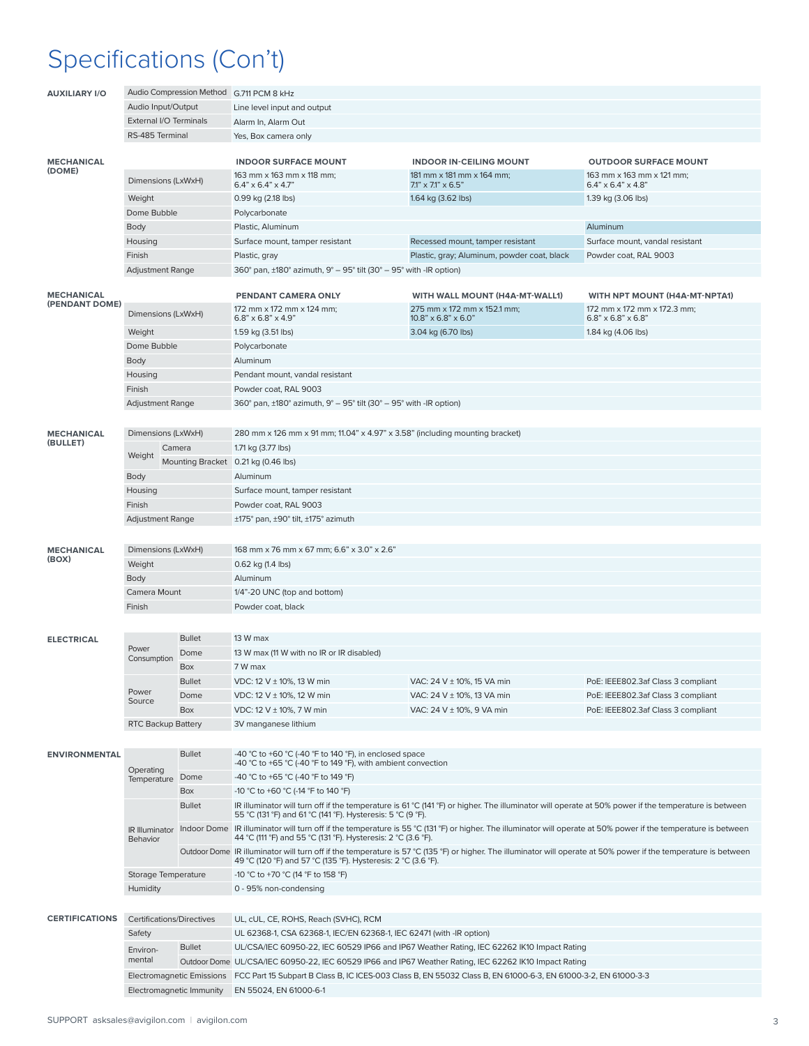# Specifications (Con't)

| <b>AUXILIARY I/O</b>                |                                  |                          | Audio Compression Method G.711 PCM 8 kHz                                                                                                                                                                                                                                                         |                                                                                                                                                      |                                                               |  |  |  |  |  |
|-------------------------------------|----------------------------------|--------------------------|--------------------------------------------------------------------------------------------------------------------------------------------------------------------------------------------------------------------------------------------------------------------------------------------------|------------------------------------------------------------------------------------------------------------------------------------------------------|---------------------------------------------------------------|--|--|--|--|--|
|                                     | Audio Input/Output               |                          | Line level input and output                                                                                                                                                                                                                                                                      |                                                                                                                                                      |                                                               |  |  |  |  |  |
|                                     | External I/O Terminals           |                          | Alarm In, Alarm Out                                                                                                                                                                                                                                                                              |                                                                                                                                                      |                                                               |  |  |  |  |  |
|                                     | RS-485 Terminal                  |                          | Yes, Box camera only                                                                                                                                                                                                                                                                             |                                                                                                                                                      |                                                               |  |  |  |  |  |
|                                     |                                  |                          |                                                                                                                                                                                                                                                                                                  |                                                                                                                                                      |                                                               |  |  |  |  |  |
| <b>MECHANICAL</b><br>(DOME)         |                                  |                          | <b>INDOOR SURFACE MOUNT</b>                                                                                                                                                                                                                                                                      | <b>OUTDOOR SURFACE MOUNT</b>                                                                                                                         |                                                               |  |  |  |  |  |
|                                     | Dimensions (LxWxH)               |                          | 163 mm x 163 mm x 118 mm;<br>$6.4" \times 6.4" \times 4.7"$                                                                                                                                                                                                                                      | 163 mm x 163 mm x 121 mm:<br>$6.4" \times 6.4" \times 4.8"$                                                                                          |                                                               |  |  |  |  |  |
|                                     | Weight                           |                          | 0.99 kg (2.18 lbs)                                                                                                                                                                                                                                                                               | $7.1" \times 7.1" \times 6.5"$<br>1.64 kg (3.62 lbs)                                                                                                 | 1.39 kg (3.06 lbs)                                            |  |  |  |  |  |
|                                     | Dome Bubble                      |                          | Polycarbonate                                                                                                                                                                                                                                                                                    |                                                                                                                                                      |                                                               |  |  |  |  |  |
|                                     | Body                             |                          | Plastic, Aluminum                                                                                                                                                                                                                                                                                |                                                                                                                                                      | Aluminum                                                      |  |  |  |  |  |
|                                     | Housing                          |                          | Surface mount, tamper resistant                                                                                                                                                                                                                                                                  | Recessed mount, tamper resistant                                                                                                                     | Surface mount, vandal resistant                               |  |  |  |  |  |
|                                     | Finish                           |                          | Plastic, gray                                                                                                                                                                                                                                                                                    | Plastic, gray; Aluminum, powder coat, black                                                                                                          | Powder coat, RAL 9003                                         |  |  |  |  |  |
|                                     | <b>Adjustment Range</b>          |                          | 360° pan, $\pm$ 180° azimuth, 9° – 95° tilt (30° – 95° with -IR option)                                                                                                                                                                                                                          |                                                                                                                                                      |                                                               |  |  |  |  |  |
|                                     |                                  |                          |                                                                                                                                                                                                                                                                                                  |                                                                                                                                                      |                                                               |  |  |  |  |  |
| <b>MECHANICAL</b><br>(PENDANT DOME) |                                  |                          | PENDANT CAMERA ONLY                                                                                                                                                                                                                                                                              | WITH WALL MOUNT (H4A-MT-WALL1)                                                                                                                       | WITH NPT MOUNT (H4A-MT-NPTA1)                                 |  |  |  |  |  |
|                                     | Dimensions (LxWxH)               |                          | 172 mm x 172 mm x 124 mm;<br>$6.8" \times 6.8" \times 4.9"$                                                                                                                                                                                                                                      | 275 mm x 172 mm x 152.1 mm;<br>$10.8" \times 6.8" \times 6.0"$                                                                                       | 172 mm x 172 mm x 172.3 mm;<br>$6.8" \times 6.8" \times 6.8"$ |  |  |  |  |  |
|                                     | Weight                           |                          | 1.59 kg (3.51 lbs)                                                                                                                                                                                                                                                                               | 3.04 kg (6.70 lbs)                                                                                                                                   | 1.84 kg (4.06 lbs)                                            |  |  |  |  |  |
|                                     | Dome Bubble                      |                          | Polycarbonate                                                                                                                                                                                                                                                                                    |                                                                                                                                                      |                                                               |  |  |  |  |  |
|                                     | Body                             |                          | Aluminum                                                                                                                                                                                                                                                                                         |                                                                                                                                                      |                                                               |  |  |  |  |  |
|                                     | Housing                          |                          | Pendant mount, vandal resistant                                                                                                                                                                                                                                                                  |                                                                                                                                                      |                                                               |  |  |  |  |  |
|                                     | Finish                           |                          | Powder coat, RAL 9003                                                                                                                                                                                                                                                                            |                                                                                                                                                      |                                                               |  |  |  |  |  |
|                                     | <b>Adjustment Range</b>          |                          | 360° pan, $\pm$ 180° azimuth, 9° – 95° tilt (30° – 95° with -IR option)                                                                                                                                                                                                                          |                                                                                                                                                      |                                                               |  |  |  |  |  |
|                                     |                                  |                          |                                                                                                                                                                                                                                                                                                  |                                                                                                                                                      |                                                               |  |  |  |  |  |
| <b>MECHANICAL</b>                   | Dimensions (LxWxH)               |                          | 280 mm x 126 mm x 91 mm; 11.04" x 4.97" x 3.58" (including mounting bracket)                                                                                                                                                                                                                     |                                                                                                                                                      |                                                               |  |  |  |  |  |
| (BULLET)                            |                                  | Camera                   | 1.71 kg (3.77 lbs)                                                                                                                                                                                                                                                                               |                                                                                                                                                      |                                                               |  |  |  |  |  |
|                                     | Weight                           |                          | Mounting Bracket 0.21 kg (0.46 lbs)                                                                                                                                                                                                                                                              |                                                                                                                                                      |                                                               |  |  |  |  |  |
|                                     | Body                             |                          | Aluminum                                                                                                                                                                                                                                                                                         |                                                                                                                                                      |                                                               |  |  |  |  |  |
|                                     | Housing                          |                          | Surface mount, tamper resistant                                                                                                                                                                                                                                                                  |                                                                                                                                                      |                                                               |  |  |  |  |  |
|                                     | Finish                           |                          | Powder coat, RAL 9003                                                                                                                                                                                                                                                                            |                                                                                                                                                      |                                                               |  |  |  |  |  |
|                                     | <b>Adjustment Range</b>          |                          | $\pm$ 175° pan, $\pm$ 90° tilt, $\pm$ 175° azimuth                                                                                                                                                                                                                                               |                                                                                                                                                      |                                                               |  |  |  |  |  |
|                                     |                                  |                          |                                                                                                                                                                                                                                                                                                  |                                                                                                                                                      |                                                               |  |  |  |  |  |
| <b>MECHANICAL</b>                   | Dimensions (LxWxH)               |                          | 168 mm x 76 mm x 67 mm; 6.6" x 3.0" x 2.6"                                                                                                                                                                                                                                                       |                                                                                                                                                      |                                                               |  |  |  |  |  |
| (BOX)                               | Weight                           |                          | 0.62 kg (1.4 lbs)                                                                                                                                                                                                                                                                                |                                                                                                                                                      |                                                               |  |  |  |  |  |
|                                     | Body                             |                          | Aluminum                                                                                                                                                                                                                                                                                         |                                                                                                                                                      |                                                               |  |  |  |  |  |
|                                     | Camera Mount                     |                          | 1/4"-20 UNC (top and bottom)                                                                                                                                                                                                                                                                     |                                                                                                                                                      |                                                               |  |  |  |  |  |
|                                     | Finish                           |                          | Powder coat, black                                                                                                                                                                                                                                                                               |                                                                                                                                                      |                                                               |  |  |  |  |  |
|                                     |                                  |                          |                                                                                                                                                                                                                                                                                                  |                                                                                                                                                      |                                                               |  |  |  |  |  |
| <b>ELECTRICAL</b>                   |                                  | <b>Bullet</b>            | 13 W max                                                                                                                                                                                                                                                                                         |                                                                                                                                                      |                                                               |  |  |  |  |  |
|                                     | Power                            | Dome                     | 13 W max (11 W with no IR or IR disabled)                                                                                                                                                                                                                                                        |                                                                                                                                                      |                                                               |  |  |  |  |  |
|                                     | Consumption                      | <b>Box</b>               | 7 W max                                                                                                                                                                                                                                                                                          |                                                                                                                                                      |                                                               |  |  |  |  |  |
|                                     |                                  | <b>Bullet</b>            | VDC: 12 V $\pm$ 10%, 13 W min                                                                                                                                                                                                                                                                    | VAC: 24 V ± 10%, 15 VA min                                                                                                                           | PoE: IEEE802.3af Class 3 compliant                            |  |  |  |  |  |
|                                     | Power                            | Dome                     | VDC: 12 V ± 10%, 12 W min                                                                                                                                                                                                                                                                        | VAC: 24 V ± 10%, 13 VA min                                                                                                                           | PoE: IEEE802.3af Class 3 compliant                            |  |  |  |  |  |
|                                     | Source                           | Box                      | VDC: 12 V ± 10%, 7 W min                                                                                                                                                                                                                                                                         | VAC: 24 V ± 10%, 9 VA min                                                                                                                            | PoE: IEEE802.3af Class 3 compliant                            |  |  |  |  |  |
|                                     | RTC Backup Battery               |                          | 3V manganese lithium                                                                                                                                                                                                                                                                             |                                                                                                                                                      |                                                               |  |  |  |  |  |
|                                     |                                  |                          |                                                                                                                                                                                                                                                                                                  |                                                                                                                                                      |                                                               |  |  |  |  |  |
| <b>ENVIRONMENTAL</b>                |                                  | <b>Bullet</b>            | -40 °C to +60 °C (-40 °F to 140 °F), in enclosed space<br>-40 °C to +65 °C (-40 °F to 149 °F), with ambient convection                                                                                                                                                                           |                                                                                                                                                      |                                                               |  |  |  |  |  |
|                                     | Operating<br>Temperature         | Dome                     | -40 °C to +65 °C (-40 °F to 149 °F)                                                                                                                                                                                                                                                              |                                                                                                                                                      |                                                               |  |  |  |  |  |
|                                     |                                  | Box                      | -10 °C to +60 °C (-14 °F to 140 °F)                                                                                                                                                                                                                                                              |                                                                                                                                                      |                                                               |  |  |  |  |  |
|                                     |                                  | <b>Bullet</b>            |                                                                                                                                                                                                                                                                                                  | IR illuminator will turn off if the temperature is 61 °C (141 °F) or higher. The illuminator will operate at 50% power if the temperature is between |                                                               |  |  |  |  |  |
|                                     | <b>IR Illuminator</b>            |                          | 55 °C (131 °F) and 61 °C (141 °F). Hysteresis: 5 °C (9 °F).<br>Indoor Dome IR illuminator will turn off if the temperature is 55 °C (131 °F) or higher. The illuminator will operate at 50% power if the temperature is between<br>44 °C (111 °F) and 55 °C (131 °F). Hysteresis: 2 °C (3.6 °F). |                                                                                                                                                      |                                                               |  |  |  |  |  |
|                                     | Behavior                         |                          | Outdoor Dome IR illuminator will turn off if the temperature is 57 °C (135 °F) or higher. The illuminator will operate at 50% power if the temperature is between<br>49 °C (120 °F) and 57 °C (135 °F). Hysteresis: 2 °C (3.6 °F).                                                               |                                                                                                                                                      |                                                               |  |  |  |  |  |
|                                     | Storage Temperature              |                          | -10 °C to +70 °C (14 °F to 158 °F)                                                                                                                                                                                                                                                               |                                                                                                                                                      |                                                               |  |  |  |  |  |
|                                     | Humidity                         |                          | 0 - 95% non-condensing                                                                                                                                                                                                                                                                           |                                                                                                                                                      |                                                               |  |  |  |  |  |
|                                     |                                  |                          |                                                                                                                                                                                                                                                                                                  |                                                                                                                                                      |                                                               |  |  |  |  |  |
| <b>CERTIFICATIONS</b>               | <b>Certifications/Directives</b> |                          | UL, cUL, CE, ROHS, Reach (SVHC), RCM                                                                                                                                                                                                                                                             |                                                                                                                                                      |                                                               |  |  |  |  |  |
|                                     | Safety                           |                          | UL 62368-1, CSA 62368-1, IEC/EN 62368-1, IEC 62471 (with -IR option)                                                                                                                                                                                                                             |                                                                                                                                                      |                                                               |  |  |  |  |  |
|                                     | Environ-                         | <b>Bullet</b>            |                                                                                                                                                                                                                                                                                                  | UL/CSA/IEC 60950-22, IEC 60529 IP66 and IP67 Weather Rating, IEC 62262 IK10 Impact Rating                                                            |                                                               |  |  |  |  |  |
|                                     | mental                           |                          | Outdoor Dome UL/CSA/IEC 60950-22, IEC 60529 IP66 and IP67 Weather Rating, IEC 62262 IK10 Impact Rating                                                                                                                                                                                           |                                                                                                                                                      |                                                               |  |  |  |  |  |
|                                     |                                  |                          | Electromagnetic Emissions FCC Part 15 Subpart B Class B, IC ICES-003 Class B, EN 55032 Class B, EN 61000-6-3, EN 61000-3-2, EN 61000-3-3                                                                                                                                                         |                                                                                                                                                      |                                                               |  |  |  |  |  |
|                                     |                                  | Electromagnetic Immunity | EN 55024, EN 61000-6-1                                                                                                                                                                                                                                                                           |                                                                                                                                                      |                                                               |  |  |  |  |  |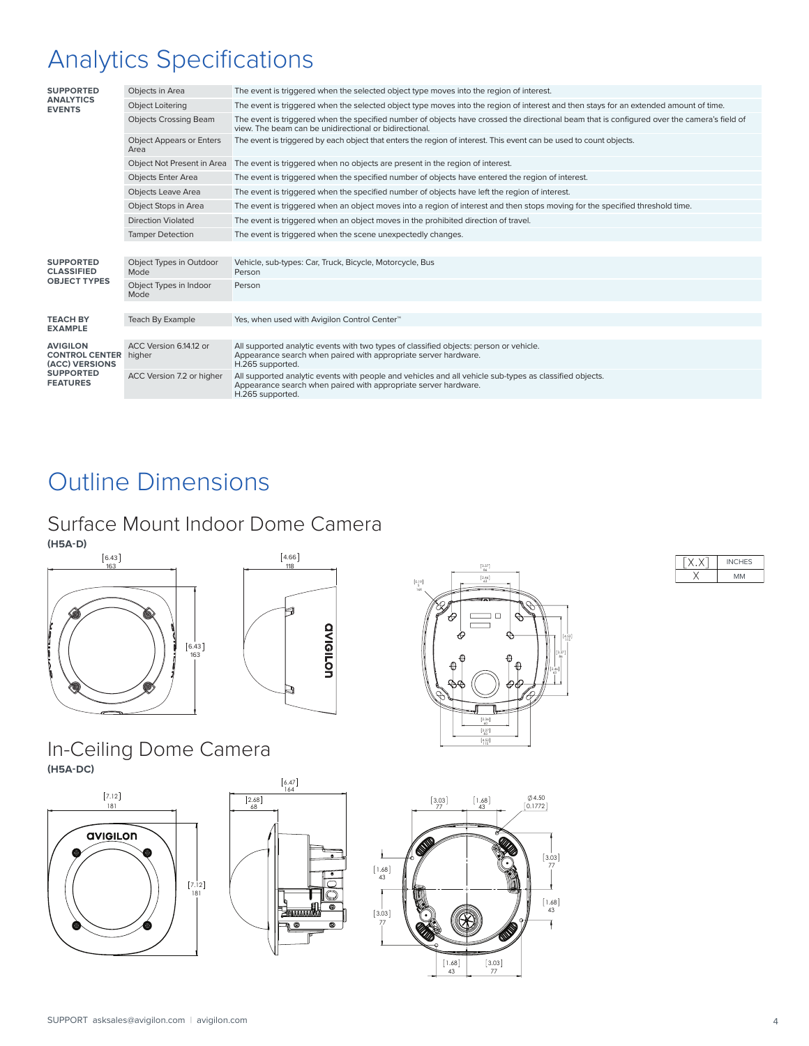# Analytics Specifications

| <b>SUPPORTED</b>                                           | Objects in Area                         | The event is triggered when the selected object type moves into the region of interest.                                                                                                               |
|------------------------------------------------------------|-----------------------------------------|-------------------------------------------------------------------------------------------------------------------------------------------------------------------------------------------------------|
| <b>ANALYTICS</b><br><b>EVENTS</b>                          | <b>Object Loitering</b>                 | The event is triggered when the selected object type moves into the region of interest and then stays for an extended amount of time.                                                                 |
|                                                            | <b>Objects Crossing Beam</b>            | The event is triggered when the specified number of objects have crossed the directional beam that is configured over the camera's field of<br>view. The beam can be unidirectional or bidirectional. |
|                                                            | <b>Object Appears or Enters</b><br>Area | The event is triggered by each object that enters the region of interest. This event can be used to count objects.                                                                                    |
|                                                            |                                         | Object Not Present in Area The event is triggered when no objects are present in the region of interest.                                                                                              |
|                                                            | <b>Objects Enter Area</b>               | The event is triggered when the specified number of objects have entered the region of interest.                                                                                                      |
|                                                            | <b>Objects Leave Area</b>               | The event is triggered when the specified number of objects have left the region of interest.                                                                                                         |
|                                                            | Object Stops in Area                    | The event is triggered when an object moves into a region of interest and then stops moving for the specified threshold time.                                                                         |
|                                                            | <b>Direction Violated</b>               | The event is triggered when an object moves in the prohibited direction of travel.                                                                                                                    |
|                                                            | <b>Tamper Detection</b>                 | The event is triggered when the scene unexpectedly changes.                                                                                                                                           |
|                                                            |                                         |                                                                                                                                                                                                       |
| <b>SUPPORTED</b><br><b>CLASSIFIED</b>                      | Object Types in Outdoor<br>Mode         | Vehicle, sub-types: Car, Truck, Bicycle, Motorcycle, Bus<br>Person                                                                                                                                    |
| <b>OBJECT TYPES</b>                                        | Object Types in Indoor<br>Mode          | Person                                                                                                                                                                                                |
|                                                            |                                         |                                                                                                                                                                                                       |
| <b>TEACH BY</b><br><b>EXAMPLE</b>                          | Teach By Example                        | Yes, when used with Avigilon Control Center™                                                                                                                                                          |
|                                                            |                                         |                                                                                                                                                                                                       |
| <b>AVIGILON</b><br><b>CONTROL CENTER</b><br>(ACC) VERSIONS | ACC Version 6.14.12 or<br>higher        | All supported analytic events with two types of classified objects: person or vehicle.<br>Appearance search when paired with appropriate server hardware.<br>H.265 supported.                         |
| <b>SUPPORTED</b><br><b>FEATURES</b>                        | ACC Version 7.2 or higher               | All supported analytic events with people and vehicles and all vehicle sub-types as classified objects.<br>Appearance search when paired with appropriate server hardware.<br>H.265 supported.        |
|                                                            |                                         |                                                                                                                                                                                                       |

## Outline Dimensions

### Surface Mount Indoor Dome Camera

















SUPPORT asksales@avigilon.com | avigilon.com 4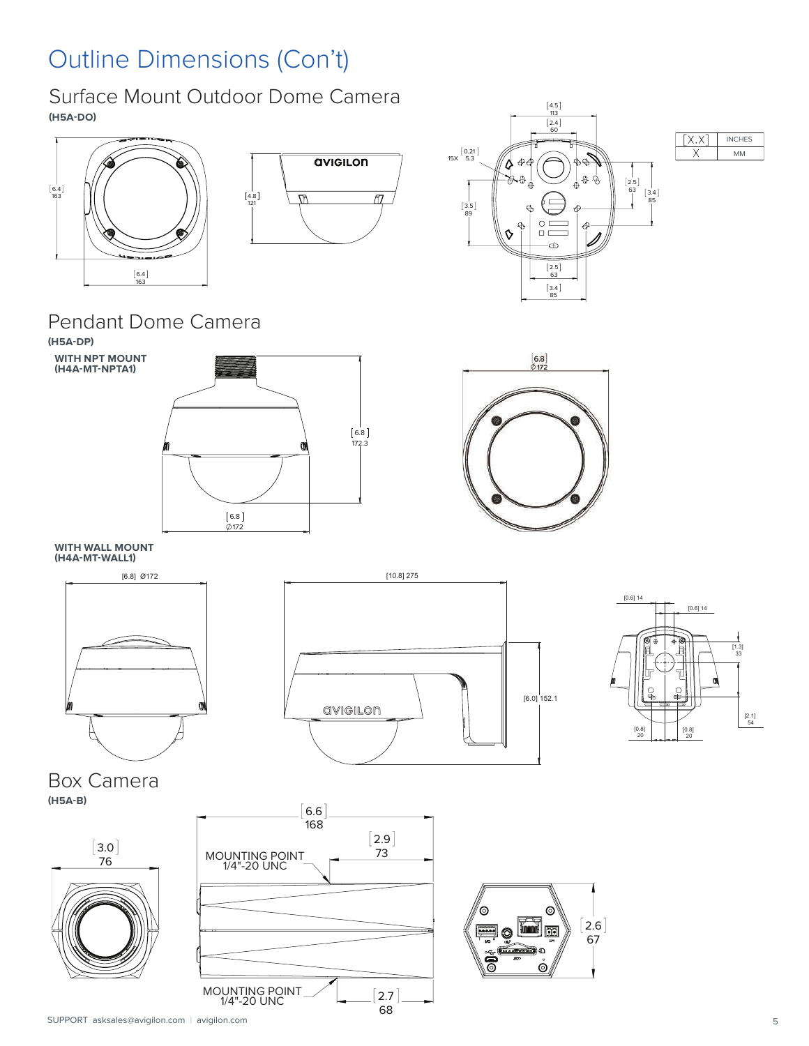# Outline Dimensions (Con't)

Surface Mount Outdoor Dome Camera **(H5A-DO)**









### Pendant Dome Camera

**(H5A-DP) WITH NPT MOUNT (H4A-MT-NPTA1)**





**WITH WALL MOUNT (H4A-MT-WALL1)**







Box Camera **(H5A-B)**



 $6.6$ 168  $[2.9]$ 73  $2.7$ 68 76 **MOUNTING POINT**<br>
1/4"-20 UNC 1/4-20 UNC MOUNTING POINT 1/4"-20 UNC

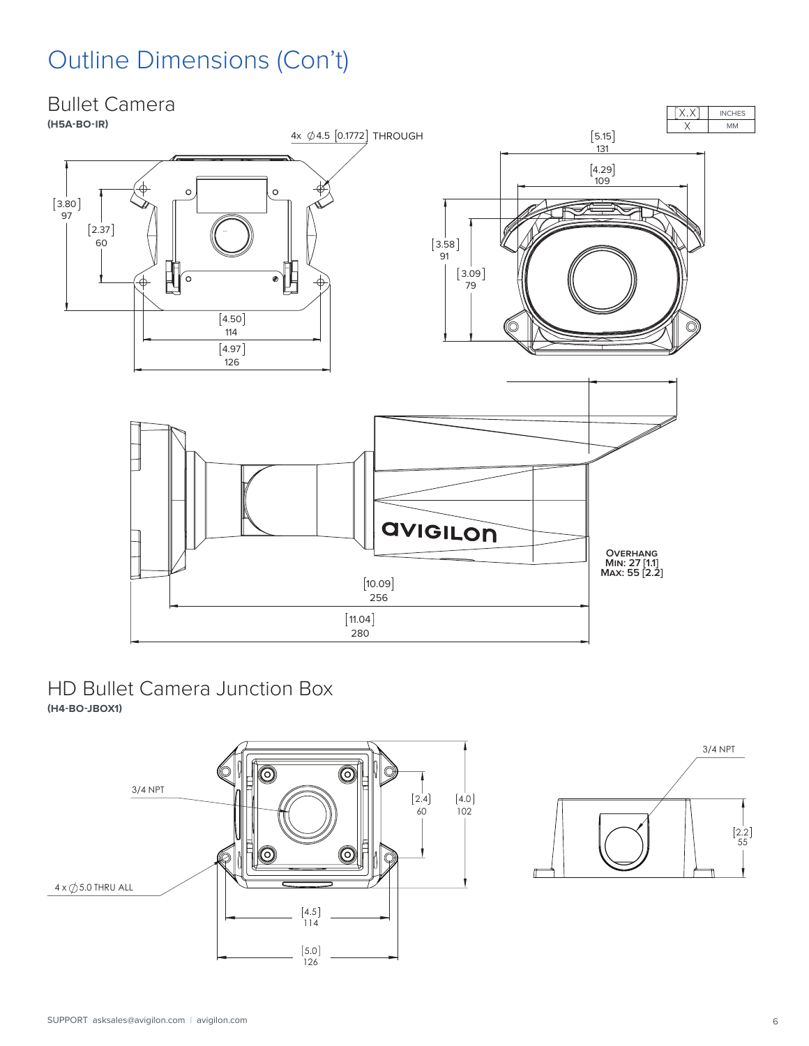# Outline Dimensions (Con't)



#### HD Bullet Camera Junction Box **(H4-BO-JBOX1)**



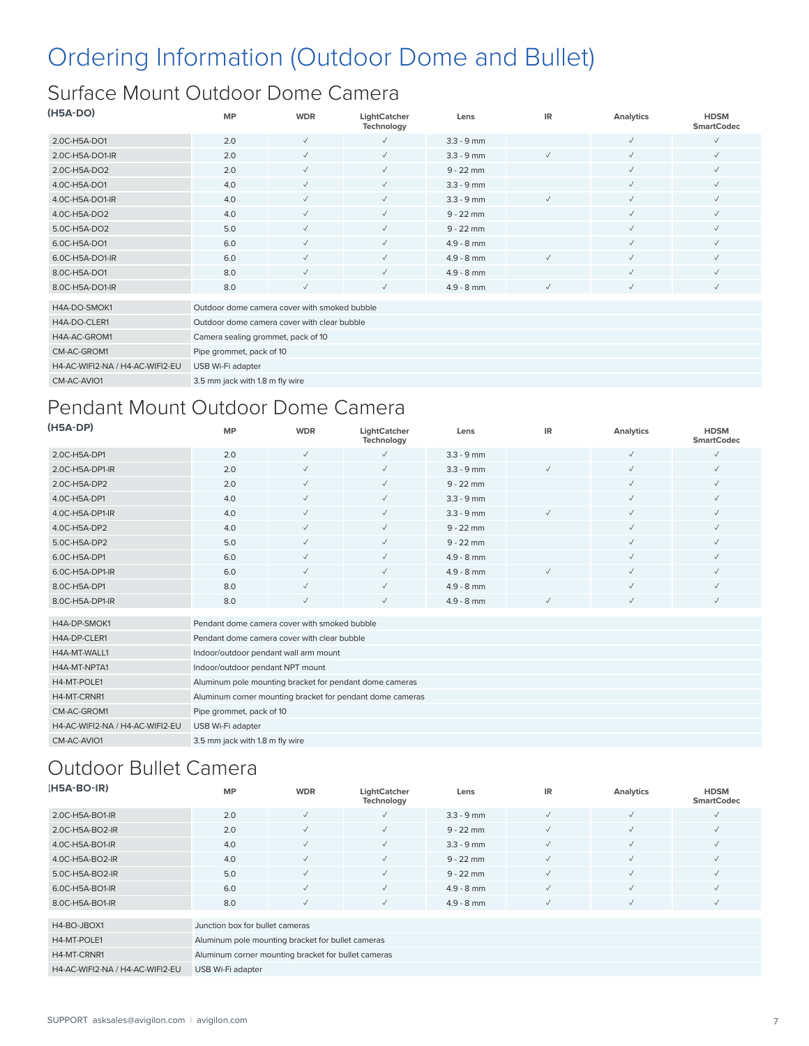# Ordering Information (Outdoor Dome and Bullet)

### Surface Mount Outdoor Dome Camera

| (H5A-DO)                        | <b>MP</b>                                    | <b>WDR</b>   | LightCatcher<br>Technology | Lens         | <b>IR</b>    | Analytics    | <b>HDSM</b><br><b>SmartCodec</b> |
|---------------------------------|----------------------------------------------|--------------|----------------------------|--------------|--------------|--------------|----------------------------------|
| 2.0C-H5A-DO1                    | 2.0                                          | $\checkmark$ | $\checkmark$               | $3.3 - 9$ mm |              | $\checkmark$ | $\checkmark$                     |
| 2.0C-H5A-DO1-IR                 | 2.0                                          | $\checkmark$ | $\checkmark$               | $3.3 - 9$ mm | $\checkmark$ | $\checkmark$ | $\checkmark$                     |
| 2.0C-H5A-DO2                    | 2.0                                          | $\checkmark$ | $\checkmark$               | $9 - 22$ mm  |              | $\checkmark$ | $\checkmark$                     |
| 4.0C-H5A-DO1                    | 4.0                                          | $\checkmark$ | $\checkmark$               | $3.3 - 9$ mm |              | $\checkmark$ | $\checkmark$                     |
| 4.0C-H5A-DO1-IR                 | 4.0                                          | $\checkmark$ | $\checkmark$               | $3.3 - 9$ mm | $\checkmark$ | $\checkmark$ | $\checkmark$                     |
| 4.0C-H5A-DO2                    | 4.0                                          | $\checkmark$ | $\checkmark$               | $9 - 22$ mm  |              | $\checkmark$ | $\checkmark$                     |
| 5.0C-H5A-DO2                    | 5.0                                          | $\checkmark$ | $\checkmark$               | $9 - 22$ mm  |              | ✓            | $\checkmark$                     |
| 6.0C-H5A-DO1                    | 6.0                                          | $\checkmark$ | $\checkmark$               | $4.9 - 8$ mm |              | $\checkmark$ | $\checkmark$                     |
| 6.0C-H5A-DO1-IR                 | 6.0                                          | $\checkmark$ | $\checkmark$               | $4.9 - 8$ mm | $\checkmark$ | $\checkmark$ | $\checkmark$                     |
| 8.0C-H5A-DO1                    | 8.0                                          | $\checkmark$ | $\checkmark$               | $4.9 - 8$ mm |              | $\checkmark$ | $\checkmark$                     |
| 8.0C-H5A-DO1-IR                 | 8.0                                          | $\checkmark$ | $\checkmark$               | $4.9 - 8$ mm | $\checkmark$ | $\checkmark$ | $\checkmark$                     |
| H4A-DO-SMOK1                    | Outdoor dome camera cover with smoked bubble |              |                            |              |              |              |                                  |
| H4A-DO-CLER1                    | Outdoor dome camera cover with clear bubble  |              |                            |              |              |              |                                  |
| H4A-AC-GROM1                    | Camera sealing grommet, pack of 10           |              |                            |              |              |              |                                  |
| CM-AC-GROM1                     | Pipe grommet, pack of 10                     |              |                            |              |              |              |                                  |
| H4-AC-WIFI2-NA / H4-AC-WIFI2-EU | USB Wi-Fi adapter                            |              |                            |              |              |              |                                  |
| CM-AC-AVIO1                     | 3.5 mm jack with 1.8 m fly wire              |              |                            |              |              |              |                                  |

### Pendant Mount Outdoor Dome Camera

| (H5A-DP)                        | <b>MP</b>                                    | <b>WDR</b>   | LightCatcher<br>Technology                                | Lens         | <b>IR</b>    | Analytics    | <b>HDSM</b><br><b>SmartCodec</b> |
|---------------------------------|----------------------------------------------|--------------|-----------------------------------------------------------|--------------|--------------|--------------|----------------------------------|
| 2.0C-H5A-DP1                    | 2.0                                          | $\checkmark$ | $\checkmark$                                              | $3.3 - 9$ mm |              | $\checkmark$ | $\checkmark$                     |
| 2.0C-H5A-DP1-IR                 | 2.0                                          | $\checkmark$ | $\checkmark$                                              | $3.3 - 9$ mm | $\checkmark$ | $\checkmark$ | $\checkmark$                     |
| 2.0C-H5A-DP2                    | 2.0                                          | $\checkmark$ | $\checkmark$                                              | $9 - 22$ mm  |              | $\checkmark$ | $\checkmark$                     |
| 4.0C-H5A-DP1                    | 4.0                                          | $\checkmark$ | $\checkmark$                                              | $3.3 - 9$ mm |              | $\checkmark$ | $\checkmark$                     |
| 4.0C-H5A-DP1-IR                 | 4.0                                          | $\checkmark$ | $\checkmark$                                              | $3.3 - 9$ mm | $\checkmark$ | $\checkmark$ | $\checkmark$                     |
| 4.0C-H5A-DP2                    | 4.0                                          | $\checkmark$ | $\checkmark$                                              | $9 - 22$ mm  |              | $\checkmark$ | $\checkmark$                     |
| 5.0C-H5A-DP2                    | 5.0                                          | $\checkmark$ | $\checkmark$                                              | $9 - 22$ mm  |              | $\checkmark$ | $\checkmark$                     |
| 6.0C-H5A-DP1                    | 6.0                                          | $\checkmark$ | $\checkmark$                                              | $4.9 - 8$ mm |              | $\checkmark$ | $\checkmark$                     |
| 6.0C-H5A-DP1-IR                 | 6.0                                          | $\checkmark$ | $\checkmark$                                              | $4.9 - 8$ mm | $\checkmark$ | $\checkmark$ | $\checkmark$                     |
| 8.0C-H5A-DP1                    | 8.0                                          | $\checkmark$ | $\checkmark$                                              | $4.9 - 8$ mm |              | $\checkmark$ | $\checkmark$                     |
| 8.0C-H5A-DP1-IR                 | 8.0                                          | $\checkmark$ | $\checkmark$                                              | $4.9 - 8$ mm | $\checkmark$ | $\checkmark$ | $\checkmark$                     |
| H4A-DP-SMOK1                    | Pendant dome camera cover with smoked bubble |              |                                                           |              |              |              |                                  |
| H4A-DP-CLER1                    | Pendant dome camera cover with clear bubble  |              |                                                           |              |              |              |                                  |
| H4A-MT-WALL1                    | Indoor/outdoor pendant wall arm mount        |              |                                                           |              |              |              |                                  |
| H4A-MT-NPTA1                    | Indoor/outdoor pendant NPT mount             |              |                                                           |              |              |              |                                  |
| H4-MT-POLE1                     |                                              |              | Aluminum pole mounting bracket for pendant dome cameras   |              |              |              |                                  |
| H4-MT-CRNR1                     |                                              |              | Aluminum corner mounting bracket for pendant dome cameras |              |              |              |                                  |
| CM-AC-GROM1                     | Pipe grommet, pack of 10                     |              |                                                           |              |              |              |                                  |
| H4-AC-WIFI2-NA / H4-AC-WIFI2-EU | USB Wi-Fi adapter                            |              |                                                           |              |              |              |                                  |
| CM-AC-AVIO1                     | 3.5 mm jack with 1.8 m fly wire              |              |                                                           |              |              |              |                                  |

### Outdoor Bullet Camera

| $(H5A-BO-IR)$                   | <b>MP</b>                                           | <b>WDR</b>   | LightCatcher<br>Technology | Lens         | IR.          | Analytics    | <b>HDSM</b><br><b>SmartCodec</b> |
|---------------------------------|-----------------------------------------------------|--------------|----------------------------|--------------|--------------|--------------|----------------------------------|
| 2.0C-H5A-BO1-IR                 | 2.0                                                 | $\checkmark$ | $\checkmark$               | $3.3 - 9$ mm | $\checkmark$ | $\checkmark$ | $\checkmark$                     |
| 2.0C-H5A-BO2-IR                 | 2.0                                                 | $\checkmark$ | $\checkmark$               | $9 - 22$ mm  | $\checkmark$ | $\checkmark$ | $\checkmark$                     |
| 4.0C-H5A-BO1-IR                 | 4.0                                                 | $\checkmark$ | $\checkmark$               | $3.3 - 9$ mm | $\checkmark$ | $\checkmark$ | $\checkmark$                     |
| 4.0C-H5A-BO2-IR                 | 4.0                                                 | $\checkmark$ | $\checkmark$               | $9 - 22$ mm  | $\checkmark$ | $\checkmark$ | $\sqrt{}$                        |
| 5.0C-H5A-BO2-IR                 | 5.0                                                 | $\checkmark$ | $\checkmark$               | $9 - 22$ mm  | $\checkmark$ | $\checkmark$ | $\checkmark$                     |
| 6.0C-H5A-BO1-IR                 | 6.0                                                 | $\sqrt{}$    | $\checkmark$               | $4.9 - 8$ mm | $\checkmark$ | $\checkmark$ | $\checkmark$                     |
| 8.0C-H5A-BO1-IR                 | 8.0                                                 | $\checkmark$ | $\checkmark$               | $4.9 - 8$ mm | $\sqrt{}$    | $\sqrt{}$    | $\sqrt{}$                        |
|                                 |                                                     |              |                            |              |              |              |                                  |
| H4-BO-JBOX1                     | Junction box for bullet cameras                     |              |                            |              |              |              |                                  |
| H4-MT-POLE1                     | Aluminum pole mounting bracket for bullet cameras   |              |                            |              |              |              |                                  |
| H4-MT-CRNR1                     | Aluminum corner mounting bracket for bullet cameras |              |                            |              |              |              |                                  |
| H4-AC-WIFI2-NA / H4-AC-WIFI2-EU | USB Wi-Fi adapter                                   |              |                            |              |              |              |                                  |